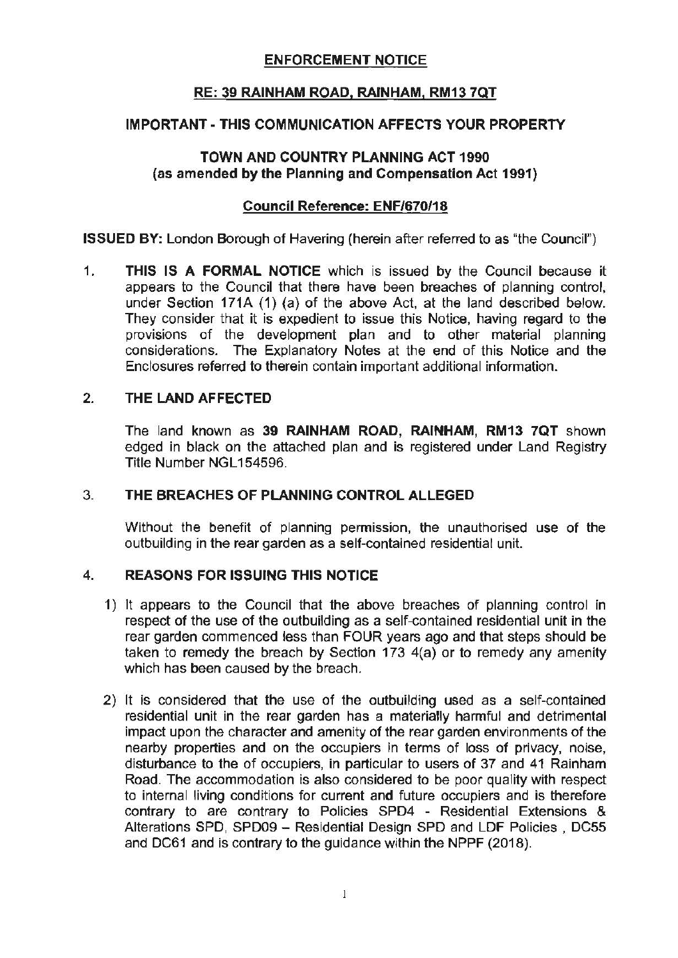# ENFORCEMENT NOTICE

# **RE: 39 RAINHAM ROAD, RAINHAM, RM13 7QT**

# **IMPORTANT- THIS COMMUNICATION AFFECTS YOUR PROPERTY**

# **TOWN AND COUNTRY PLANNING ACT 1990 (as amended by the Planning and Compensation Act 1991)**

# **Council Reference: ENF/670/18**

**ISSUED BY:** London Borough of Havering (herein after referred to as "the Council")

1. **THIS IS A FORMAL NOTICE** which is issued by the Council because it appears to the Council that there have been breaches of planning control, under Section 171A (1) (a) of the above Act, at the land described below. They consider that it is expedient to issue this Notice, having regard to the provisions of the development plan and to other material planning considerations. The Explanatory Notes at the end of this Notice and the Enclosures referred to therein contain important additional information.

# 2. THE **LAND AFFECTED**

The land known as **39 RAINHAM ROAD, RAINHAM, RM13 7QT** shown edged in black on the attached plan and is registered under Land Registry Title Number NGL154596.

#### 3. **THE BREACHES OF PLANNING CONTROL ALLEGED**

Without the benefit of planning permission, the unauthorised use of the outbuilding in the rear garden as a self-contained residential unit.

# 4. **REASONS FOR ISSUING THIS NOTICE**

- 1) It appears to the Council that the above breaches of planning control in respect of the use of the outbuilding as a self-contained residential unit in the rear garden commenced less than FOUR years ago and that steps should be taken to remedy the breach by Section 173 4(a) or to remedy any amenity which has been caused by the breach.
- 2) It is considered that the use of the outbuilding used as a self-contained residential unit in the rear garden has a materially harmful and detrimental impact upon the character and amenity of the rear garden environments of the nearby properties and on the occupiers in terms of loss of privacy, noise, disturbance to the of occupiers, in particular to users of 37 and 41 Rainham Road. The accommodation is also considered to be poor quality with respect to internal living conditions for current and future occupiers and is therefore contrary to are contrary to Policies SPD4 - Residential Extensions & Alterations SPD, SPD09 - Residential Design SPD and LDF Policies, DC55 and DC61 and is contrary to the guidance within the NPPF (2018).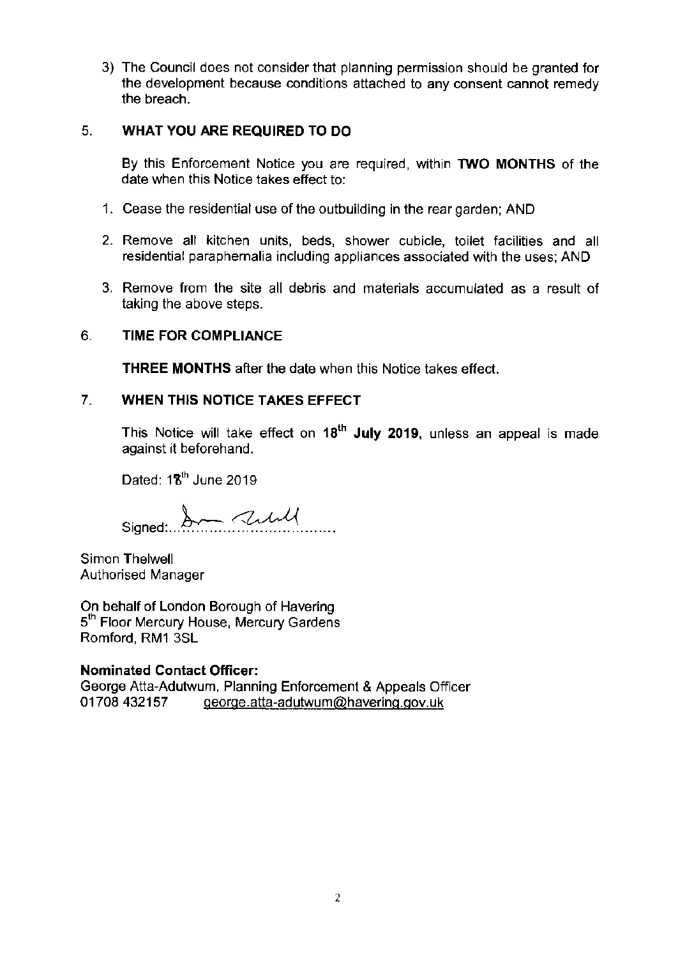3) The Council does not consider that planning permission should be granted for **the development because conditions attached to any consent cannot remedy**  the breach.

# 5. **WHAT YOU ARE REQUIRED TO DO**

By this Enforcement Notice you are required. within **TWO MONTHS** of the date when this Notice takes effect to:

- 1. Cease the residential use of the outbuilding in the rear garden; AND
- 2. Remove all kitchen units, beds, shower cubicle, toilet facilities and all residential paraphernalia including appliances associated with the uses; AND
- 3. Remove from the site all debris and materials accumulated as a result of taking the above steps.

# 6. **TIME FOR COMPLIANCE**

**THREE MONTHS** after the date when this Notice takes effect.

# 7. **WHEN THIS NOTICE TAKES EFFECT**

**18th** This Notice will take effect on **July 2019,** unless an appeal is made against it beforehand.

Dated: **1'1,th** June 2019

Signed: 2 2 will

Simon Thelwell Authorised Manager

On behalf of London Borough of Havering 5<sup>th</sup> Floor Mercury House, Mercury Gardens Romford, RM1 3SL

#### **Nominated Contact Officer:**

George Atta-Adutwum, Planning Enforcement & Appeals Officer 01708 432157 [george.atta-adutwum@haverinq.qov.uk](mailto:george.atta-adutwum@haverinq.qov.uk)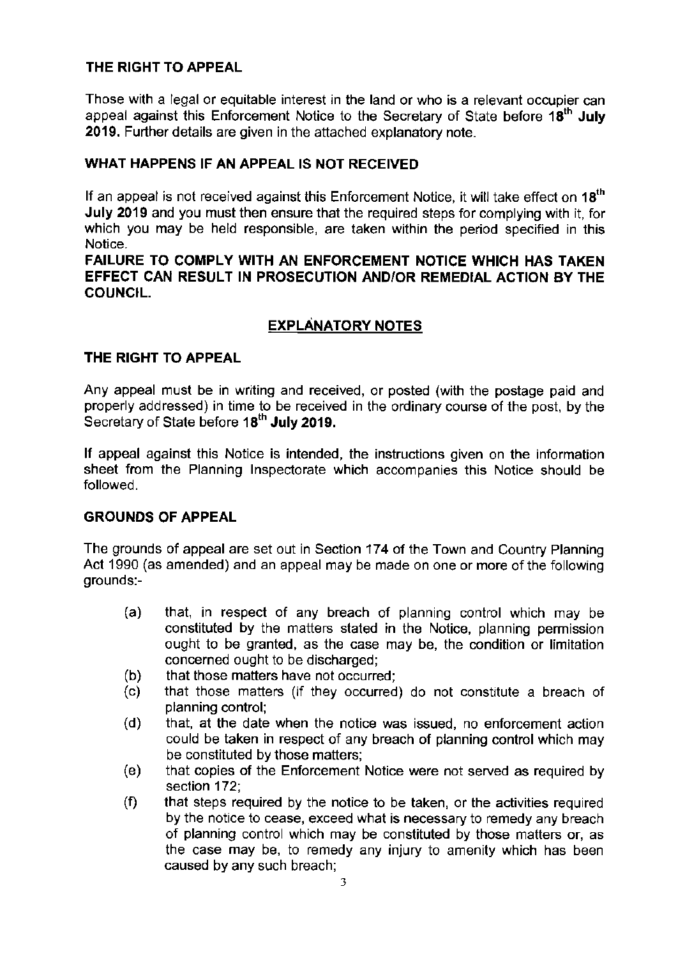# **THE RIGHT TO APPEAL**

**Those with a legal or equitable interest in the land or who is a relevant occupier can**  appeal against this Enforcement Notice to the Secretary of State before **18th July 2019.** Further details are given in the attached explanatory note.

# **WHAT HAPPENS IF AN APPEAL IS NOT RECEIVED**

If an appeal is not received against this Enforcement Notice, it **will** take effect on **18th July 2019** and you must then ensure that the required steps for complying with it, for which you may be held responsible, are taken within the period specified in this **Notice.** 

**FAILURE TO COMPLY WITH AN ENFORCEMENT NOTICE WHICH HAS TAKEN EFFECT CAN RESULT IN PROSECUTION AND/OR REMEDIAL ACTION BY THE COUNCIL.** 

# **EXPLANATORY NOTES**

# **THE RIGHT TO APPEAL**

Any appeal must be in writing and received, or posted (with the postage paid and properly addressed) in time to be received in the ordinary course of the post, by the Secretary of State before 18<sup>th</sup> July 2019.

**If appeal against this Notice is intended, the instructions given on the information**  sheet from the Planning Inspectorate which accompanies this Notice should be followed.

#### **GROUNDS OF APPEAL**

The grounds of appeal are set out in Section 174 of the Town and Country Planning Act 1990 (as amended) and an appeal may be made on one or more of the following **grounds:-**

- (a) that, in respect of any breach of planning control which may be constituted by the matters stated in the Notice, planning penmission ought to be granted, as the case may be, the condition or limitation concerned ought to be discharged;
- (b) that those matters have not occurred;
- (c) that those matters (if they occurred) do not constitute a breach of **planning control;**
- (d) that, at the date when the notice was issued, no enforcement action could be taken in respect of any breach of planning control which may be constituted by those matters;
- (e) that copies of the Enforcement Notice were not served as required by section 172;
- (f) that steps required by the notice to be taken, or the activities required **by the notice to cease, exceed what is necessary to remedy any breach**  of planning control which may be constituted by those matters or, as the case may be, to remedy any injury to amenity which has been caused by any such breach;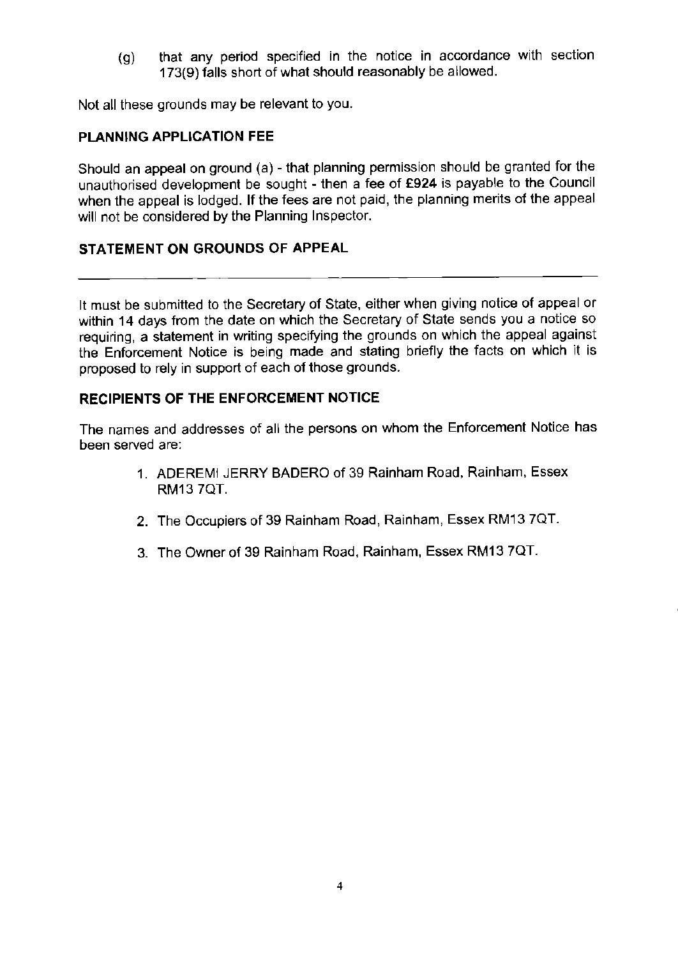(g) that any period specified in the notice in accordance with section 173(9) falls short of what should reasonably be allowed.

Not all these grounds may be relevant to you.

# **PLANNING APPLICATION FEE**

Should an appeal on ground (a) - that planning permission should be granted for the unauthorised development be sought - then a fee of **£924** is payable to the Council when the appeal is lodged. If the fees are not paid, the planning merits of the appeal will not be considered by the Planning Inspector.

# **STATEMENT ON GROUNDS OF APPEAL**

It must be submitted to the Secretary of State, either when giving notice of appeal or within 14 days from the date on which the Secretary of State sends you a notice so requiring, a statement in writing specifying the grounds on which the appeal against the Enforcement Notice is being made and stating briefly the facts on which it is proposed to rely in support of each of those grounds.

#### **RECIPIENTS OF THE ENFORCEMENT NOTICE**

The names and addresses of all the persons on whom the Enforcement Notice has **been served are:** 

- 1. ADEREMI JERRY BADERO of 39 Rainham Road, Rainham, Essex RM13 ?QT.
- 2. The Occupiers of 39 Rainham Road, Rainham, Essex RM13 ?QT.
- 3. The Owner of 39 Rainham Road, Rainham, Essex RM13 ?QT.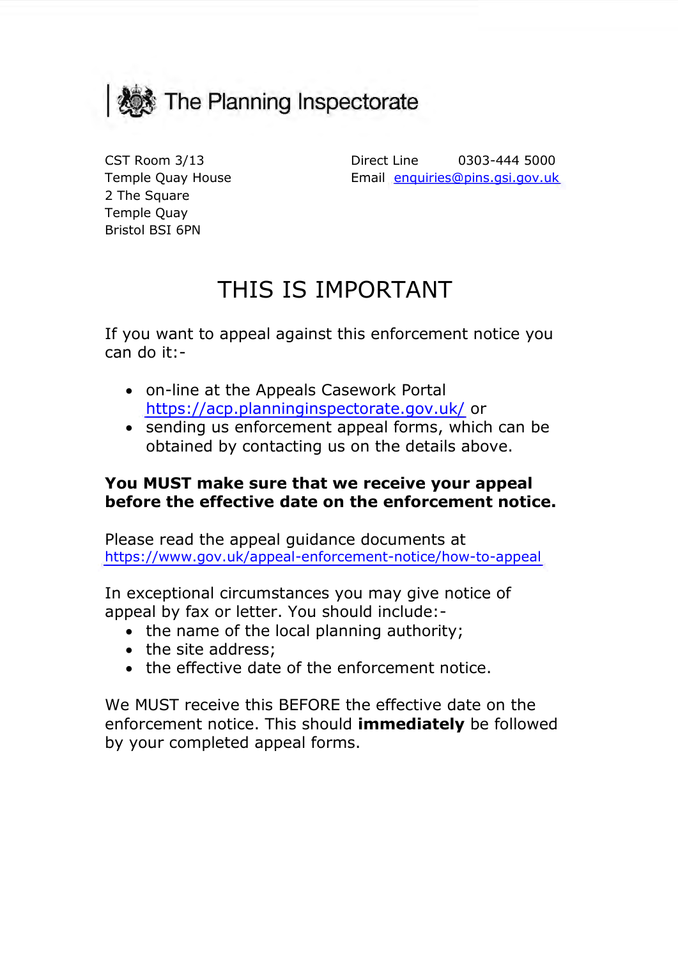

Temple Quay House **Email**  Bristol BSI 6PN 2 The Square Temple Quay

 CST Room 3/13 Direct Line 0303-444 5000 Email enquiries@pins.gsi.gov.uk

# THIS IS IMPORTANT

If you want to appeal against this enforcement notice you can do it:-

- on-line at the Appeals Casework Portal https://acp.planninginspectorate.gov.uk/ or
- obtained by contacting us on the details above. • sending us enforcement appeal forms, which can be

# **You MUST make sure that we receive your appeal before the effective date on the enforcement notice.**

Please read the appeal guidance documents at https://www.gov.uk/appeal-enforcement-notice/how-to-appeal

 appeal by fax or letter. You should include:- In exceptional circumstances you may give notice of

- the name of the local planning authority;
- the site address;
- the effective date of the enforcement notice.

 We MUST receive this BEFORE the effective date on the enforcement notice. This should **immediately** be followed by your completed appeal forms.